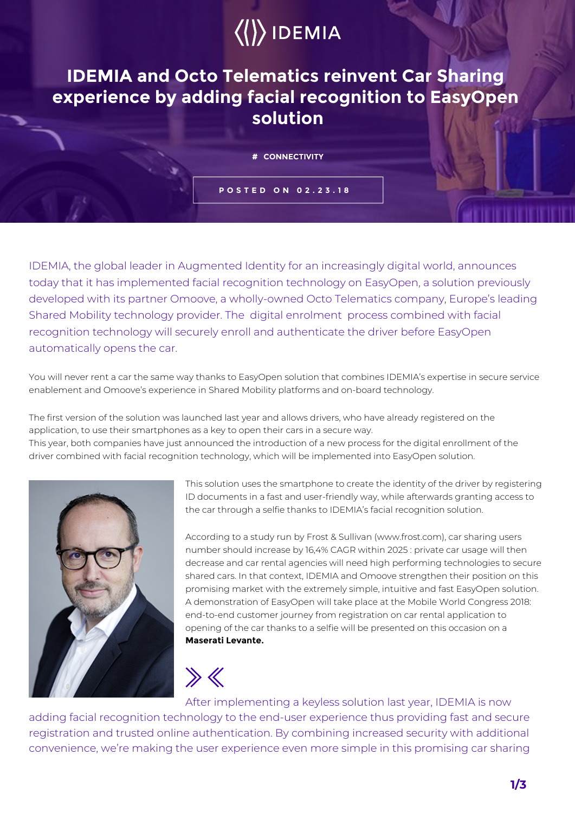# $\langle\langle\rangle\rangle$  IDEMIA

### **IDEMIA and Octo Telematics reinvent Car Sharing experience by adding facial recognition to EasyOpen solution**

#### **# CONNECTIVITY**

### **POSTED ON 02.23.18**

IDEMIA, the global leader in Augmented Identity for an increasingly digital world, announces today that it has implemented facial recognition technology on EasyOpen, a solution previously developed with its partner Omoove, a wholly-owned Octo Telematics company, Europe's leading Shared Mobility technology provider. The digital enrolment process combined with facial recognition technology will securely enroll and authenticate the driver before EasyOpen automatically opens the car.

You will never rent a car the same way thanks to EasyOpen solution that combines IDEMIA's expertise in secure service enablement and Omoove's experience in Shared Mobility platforms and on-board technology.

The first version of the solution was launched last year and allows drivers, who have already registered on the application, to use their smartphones as a key to open their cars in a secure way.

This year, both companies have just announced the introduction of a new process for the digital enrollment of the driver combined with facial recognition technology, which will be implemented into EasyOpen solution.



This solution uses the smartphone to create the identity of the driver by registering ID documents in a fast and user-friendly way, while afterwards granting access to the car through a selfie thanks to IDEMIA's facial recognition solution.

According to a study run by Frost & Sullivan (www.frost.com), car sharing users number should increase by 16,4% CAGR within 2025 : private car usage will then decrease and car rental agencies will need high performing technologies to secure shared cars. In that context, IDEMIA and Omoove strengthen their position on this promising market with the extremely simple, intuitive and fast EasyOpen solution. A demonstration of EasyOpen will take place at the Mobile World Congress 2018: end-to-end customer journey from registration on car rental application to opening of the car thanks to a selfie will be presented on this occasion on a **Maserati Levante.**



After implementing a keyless solution last year, IDEMIA is now

adding facial recognition technology to the end-user experience thus providing fast and secure registration and trusted online authentication. By combining increased security with additional convenience, we're making the user experience even more simple in this promising car sharing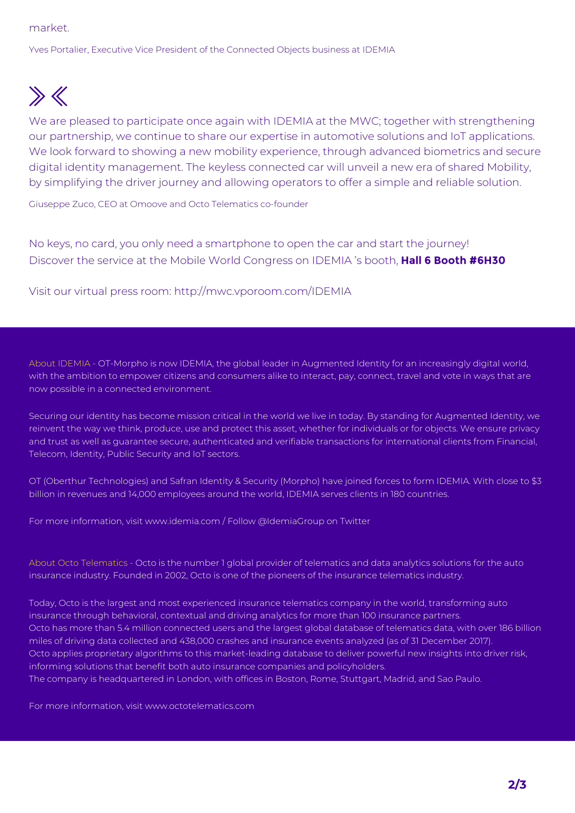#### market.

Yves Portalier, Executive Vice President of the Connected Objects business at IDEMIA

## $\gg K$

We are pleased to participate once again with IDEMIA at the MWC; together with strengthening our partnership, we continue to share our expertise in automotive solutions and IoT applications. We look forward to showing a new mobility experience, through advanced biometrics and secure digital identity management. The keyless connected car will unveil a new era of shared Mobility, by simplifying the driver journey and allowing operators to offer a simple and reliable solution.

Giuseppe Zuco, CEO at Omoove and Octo Telematics co-founder

No keys, no card, you only need a smartphone to open the car and start the journey! Discover the service at the Mobile World Congress on IDEMIA 's booth, **Hall 6 Booth #6H30**

Visit our virtual press room: http://mwc.vporoom.com/IDEMIA

About IDEMIA - OT-Morpho is now IDEMIA, the global leader in Augmented Identity for an increasingly digital world, with the ambition to empower citizens and consumers alike to interact, pay, connect, travel and vote in ways that are now possible in a connected environment.

Securing our identity has become mission critical in the world we live in today. By standing for Augmented Identity, we reinvent the way we think, produce, use and protect this asset, whether for individuals or for objects. We ensure privacy and trust as well as guarantee secure, authenticated and verifiable transactions for international clients from Financial, Telecom, Identity, Public Security and IoT sectors.

OT (Oberthur Technologies) and Safran Identity & Security (Morpho) have joined forces to form IDEMIA. With close to \$3 billion in revenues and 14,000 employees around the world, IDEMIA serves clients in 180 countries.

For more information, visit www.idemia.com / Follow @IdemiaGroup on Twitter

About Octo Telematics - Octo is the number 1 global provider of telematics and data analytics solutions for the auto insurance industry. Founded in 2002, Octo is one of the pioneers of the insurance telematics industry.

Today, Octo is the largest and most experienced insurance telematics company in the world, transforming auto insurance through behavioral, contextual and driving analytics for more than 100 insurance partners. Octo has more than 5.4 million connected users and the largest global database of telematics data, with over 186 billion miles of driving data collected and 438,000 crashes and insurance events analyzed (as of 31 December 2017). Octo applies proprietary algorithms to this market-leading database to deliver powerful new insights into driver risk, informing solutions that benefit both auto insurance companies and policyholders. The company is headquartered in London, with offices in Boston, Rome, Stuttgart, Madrid, and Sao Paulo.

For more information, visit www.octotelematics.com